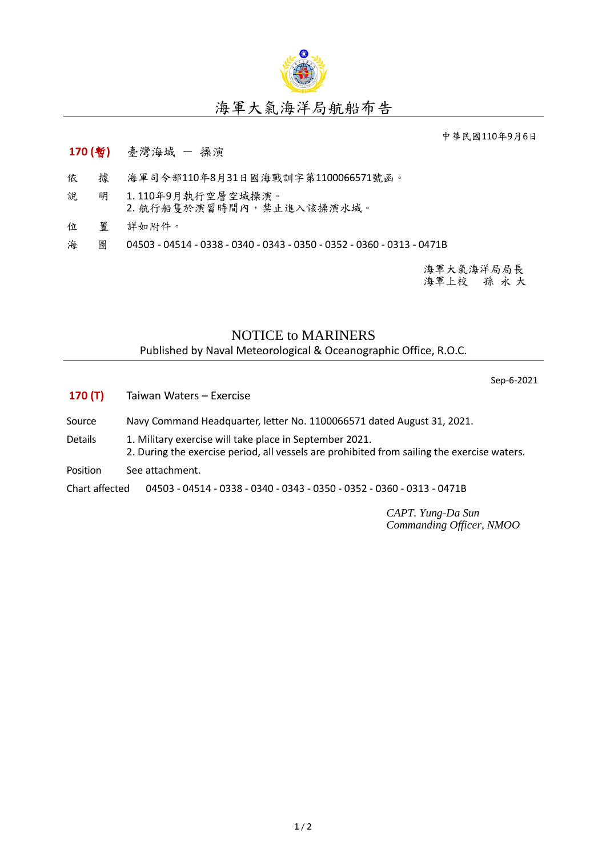

## 海軍大氣海洋局航船布告

中華民國110年9月6日

## **170 (**暫**)** 臺灣海域 - 操演

- 依 據 海軍司令部110年8月31日國海戰訓字第1100066571號函。
- 說 明 1. 110年9月執行空層空域操演。 2. 航行船隻於演習時間內,禁止進入該操演水域。
- 位 置 詳如附件。
- 海 圖 04503 04514 0338 0340 0343 0350 0352 0360 0313 0471B

海軍大氣海洋局局長 海軍上校 孫 永 大

## NOTICE to MARINERS

Published by Naval Meteorological & Oceanographic Office, R.O.C.

Sep-6-2021

- **170 (T)** Taiwan Waters Exercise
- Source Navy Command Headquarter, letter No. 1100066571 dated August 31, 2021.
- Details 1. Military exercise will take place in September 2021.
	- 2. During the exercise period, all vessels are prohibited from sailing the exercise waters.
- Position See attachment.

Chart affected 04503 - 04514 - 0338 - 0340 - 0343 - 0350 - 0352 - 0360 - 0313 - 0471B

*CAPT. Yung-Da Sun Commanding Officer, NMOO*